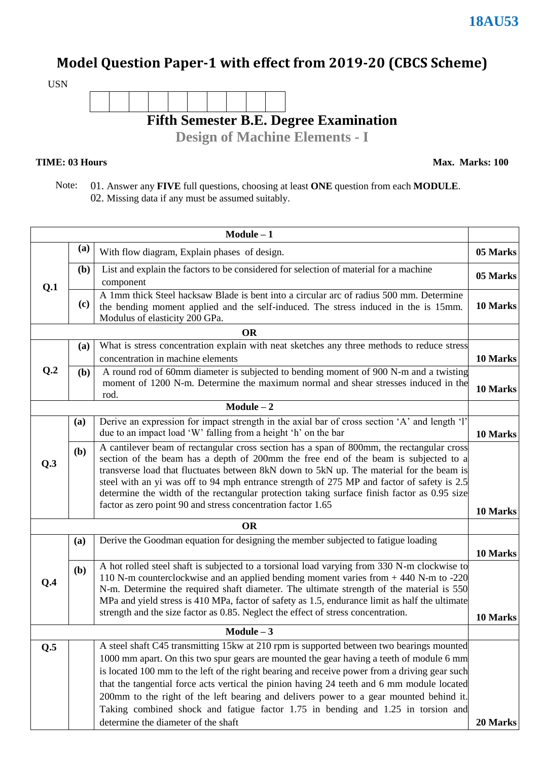### **Model Question Paper-1 with effect from 2019-20 (CBCS Scheme)**

USN



### **TIME: 03 Hours**

**Max. Marks: 100**

 Note: 01. Answer any **FIVE** full questions, choosing at least **ONE** question from each **MODULE**. 02. Missing data if any must be assumed suitably.

|     |              | $Module - 1$                                                                                                                                                                                                                                                                                                                                                                                                                                                                                                                              |          |
|-----|--------------|-------------------------------------------------------------------------------------------------------------------------------------------------------------------------------------------------------------------------------------------------------------------------------------------------------------------------------------------------------------------------------------------------------------------------------------------------------------------------------------------------------------------------------------------|----------|
|     | (a)          | With flow diagram, Explain phases of design.                                                                                                                                                                                                                                                                                                                                                                                                                                                                                              | 05 Marks |
| Q.1 | ( <b>b</b> ) | List and explain the factors to be considered for selection of material for a machine<br>component                                                                                                                                                                                                                                                                                                                                                                                                                                        | 05 Marks |
|     | (c)          | A 1mm thick Steel hacksaw Blade is bent into a circular arc of radius 500 mm. Determine<br>the bending moment applied and the self-induced. The stress induced in the is 15mm.<br>Modulus of elasticity 200 GPa.                                                                                                                                                                                                                                                                                                                          | 10 Marks |
|     |              | <b>OR</b>                                                                                                                                                                                                                                                                                                                                                                                                                                                                                                                                 |          |
|     | (a)          | What is stress concentration explain with neat sketches any three methods to reduce stress<br>concentration in machine elements                                                                                                                                                                                                                                                                                                                                                                                                           | 10 Marks |
| Q.2 | (b)          | A round rod of 60mm diameter is subjected to bending moment of 900 N-m and a twisting<br>moment of 1200 N-m. Determine the maximum normal and shear stresses induced in the<br>rod.                                                                                                                                                                                                                                                                                                                                                       | 10 Marks |
|     |              | $Module - 2$                                                                                                                                                                                                                                                                                                                                                                                                                                                                                                                              |          |
|     | (a)          | Derive an expression for impact strength in the axial bar of cross section 'A' and length 'l'<br>due to an impact load 'W' falling from a height 'h' on the bar                                                                                                                                                                                                                                                                                                                                                                           | 10 Marks |
| Q.3 | (b)          | A cantilever beam of rectangular cross section has a span of 800mm, the rectangular cross<br>section of the beam has a depth of 200mm the free end of the beam is subjected to a<br>transverse load that fluctuates between 8kN down to 5kN up. The material for the beam is<br>steel with an yi was off to 94 mph entrance strength of 275 MP and factor of safety is 2.5<br>determine the width of the rectangular protection taking surface finish factor as 0.95 size<br>factor as zero point 90 and stress concentration factor 1.65 | 10 Marks |
|     |              | <b>OR</b>                                                                                                                                                                                                                                                                                                                                                                                                                                                                                                                                 |          |
|     | (a)          | Derive the Goodman equation for designing the member subjected to fatigue loading                                                                                                                                                                                                                                                                                                                                                                                                                                                         | 10 Marks |
| Q.4 | (b)          | A hot rolled steel shaft is subjected to a torsional load varying from 330 N-m clockwise to<br>110 N-m counterclockwise and an applied bending moment varies from +440 N-m to -220<br>N-m. Determine the required shaft diameter. The ultimate strength of the material is 550<br>MPa and yield stress is 410 MPa, factor of safety as 1.5, endurance limit as half the ultimate<br>strength and the size factor as 0.85. Neglect the effect of stress concentration.                                                                     | 10 Marks |
|     |              | $Module - 3$                                                                                                                                                                                                                                                                                                                                                                                                                                                                                                                              |          |
| Q.5 |              | A steel shaft C45 transmitting 15kw at 210 rpm is supported between two bearings mounted                                                                                                                                                                                                                                                                                                                                                                                                                                                  |          |
|     |              | 1000 mm apart. On this two spur gears are mounted the gear having a teeth of module 6 mm                                                                                                                                                                                                                                                                                                                                                                                                                                                  |          |
|     |              | is located 100 mm to the left of the right bearing and receive power from a driving gear such                                                                                                                                                                                                                                                                                                                                                                                                                                             |          |
|     |              | that the tangential force acts vertical the pinion having 24 teeth and 6 mm module located                                                                                                                                                                                                                                                                                                                                                                                                                                                |          |
|     |              | 200mm to the right of the left bearing and delivers power to a gear mounted behind it.                                                                                                                                                                                                                                                                                                                                                                                                                                                    |          |
|     |              | Taking combined shock and fatigue factor 1.75 in bending and 1.25 in torsion and<br>determine the diameter of the shaft                                                                                                                                                                                                                                                                                                                                                                                                                   | 20 Marks |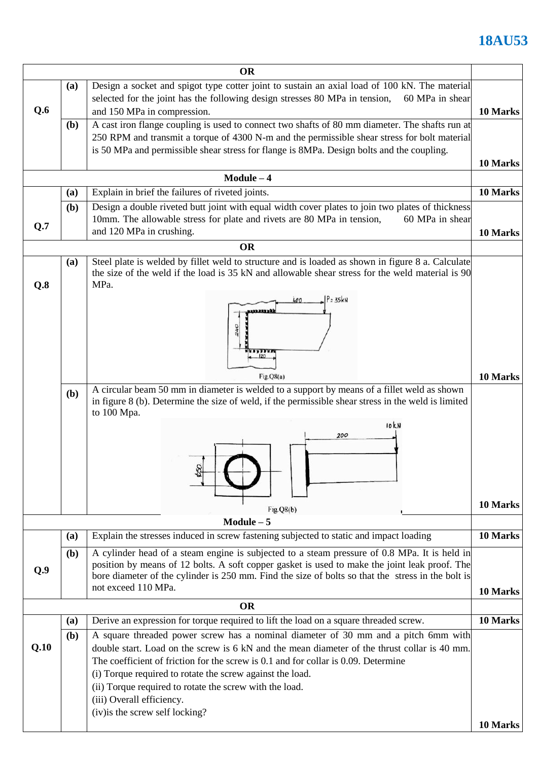|                                                                                                      |                                                                                                                                   | <b>OR</b>                                                                                                                                                                                             |          |  |  |  |  |
|------------------------------------------------------------------------------------------------------|-----------------------------------------------------------------------------------------------------------------------------------|-------------------------------------------------------------------------------------------------------------------------------------------------------------------------------------------------------|----------|--|--|--|--|
| Design a socket and spigot type cotter joint to sustain an axial load of 100 kN. The material<br>(a) |                                                                                                                                   |                                                                                                                                                                                                       |          |  |  |  |  |
|                                                                                                      |                                                                                                                                   | selected for the joint has the following design stresses 80 MPa in tension,<br>60 MPa in shear                                                                                                        |          |  |  |  |  |
| Q.6                                                                                                  |                                                                                                                                   | and 150 MPa in compression.<br>10 Marks                                                                                                                                                               |          |  |  |  |  |
|                                                                                                      | (b)                                                                                                                               | A cast iron flange coupling is used to connect two shafts of 80 mm diameter. The shafts run at                                                                                                        |          |  |  |  |  |
|                                                                                                      |                                                                                                                                   | 250 RPM and transmit a torque of 4300 N-m and the permissible shear stress for bolt material                                                                                                          |          |  |  |  |  |
|                                                                                                      |                                                                                                                                   | is 50 MPa and permissible shear stress for flange is 8MPa. Design bolts and the coupling.                                                                                                             |          |  |  |  |  |
|                                                                                                      |                                                                                                                                   |                                                                                                                                                                                                       | 10 Marks |  |  |  |  |
|                                                                                                      |                                                                                                                                   | $Module - 4$                                                                                                                                                                                          |          |  |  |  |  |
|                                                                                                      | (a)                                                                                                                               | Explain in brief the failures of riveted joints.                                                                                                                                                      | 10 Marks |  |  |  |  |
|                                                                                                      | (b)                                                                                                                               | Design a double riveted butt joint with equal width cover plates to join two plates of thickness                                                                                                      |          |  |  |  |  |
| Q.7                                                                                                  |                                                                                                                                   | 10mm. The allowable stress for plate and rivets are 80 MPa in tension,<br>60 MPa in shear<br>and 120 MPa in crushing.                                                                                 |          |  |  |  |  |
|                                                                                                      |                                                                                                                                   |                                                                                                                                                                                                       | 10 Marks |  |  |  |  |
|                                                                                                      |                                                                                                                                   | <b>OR</b>                                                                                                                                                                                             |          |  |  |  |  |
|                                                                                                      | (a)                                                                                                                               | Steel plate is welded by fillet weld to structure and is loaded as shown in figure 8 a. Calculate<br>the size of the weld if the load is 35 kN and allowable shear stress for the weld material is 90 |          |  |  |  |  |
| Q.8                                                                                                  |                                                                                                                                   | MPa.                                                                                                                                                                                                  |          |  |  |  |  |
|                                                                                                      |                                                                                                                                   | $P = 35kN$<br>400                                                                                                                                                                                     |          |  |  |  |  |
|                                                                                                      |                                                                                                                                   | <b>ATARATAR</b>                                                                                                                                                                                       |          |  |  |  |  |
|                                                                                                      |                                                                                                                                   |                                                                                                                                                                                                       |          |  |  |  |  |
|                                                                                                      |                                                                                                                                   |                                                                                                                                                                                                       |          |  |  |  |  |
|                                                                                                      |                                                                                                                                   |                                                                                                                                                                                                       |          |  |  |  |  |
|                                                                                                      |                                                                                                                                   |                                                                                                                                                                                                       |          |  |  |  |  |
|                                                                                                      |                                                                                                                                   | Fig.Q8(a)                                                                                                                                                                                             | 10 Marks |  |  |  |  |
|                                                                                                      | A circular beam 50 mm in diameter is welded to a support by means of a fillet weld as shown<br>(b)                                |                                                                                                                                                                                                       |          |  |  |  |  |
|                                                                                                      | in figure 8 (b). Determine the size of weld, if the permissible shear stress in the weld is limited<br>to 100 Mpa.<br>IOKN<br>200 |                                                                                                                                                                                                       |          |  |  |  |  |
|                                                                                                      |                                                                                                                                   |                                                                                                                                                                                                       |          |  |  |  |  |
|                                                                                                      |                                                                                                                                   |                                                                                                                                                                                                       |          |  |  |  |  |
|                                                                                                      |                                                                                                                                   |                                                                                                                                                                                                       |          |  |  |  |  |
|                                                                                                      |                                                                                                                                   |                                                                                                                                                                                                       |          |  |  |  |  |
|                                                                                                      |                                                                                                                                   |                                                                                                                                                                                                       |          |  |  |  |  |
|                                                                                                      |                                                                                                                                   |                                                                                                                                                                                                       |          |  |  |  |  |
|                                                                                                      |                                                                                                                                   | Fig.Q8(b)                                                                                                                                                                                             | 10 Marks |  |  |  |  |
|                                                                                                      |                                                                                                                                   | $Module - 5$                                                                                                                                                                                          |          |  |  |  |  |
|                                                                                                      | (a)                                                                                                                               | Explain the stresses induced in screw fastening subjected to static and impact loading                                                                                                                | 10 Marks |  |  |  |  |
|                                                                                                      |                                                                                                                                   |                                                                                                                                                                                                       |          |  |  |  |  |
|                                                                                                      | (b)                                                                                                                               | A cylinder head of a steam engine is subjected to a steam pressure of 0.8 MPa. It is held in<br>position by means of 12 bolts. A soft copper gasket is used to make the joint leak proof. The         |          |  |  |  |  |
| Q.9                                                                                                  |                                                                                                                                   | bore diameter of the cylinder is 250 mm. Find the size of bolts so that the stress in the bolt is                                                                                                     |          |  |  |  |  |
|                                                                                                      |                                                                                                                                   | not exceed 110 MPa.                                                                                                                                                                                   | 10 Marks |  |  |  |  |
|                                                                                                      |                                                                                                                                   | <b>OR</b>                                                                                                                                                                                             |          |  |  |  |  |
| Derive an expression for torque required to lift the load on a square threaded screw.                |                                                                                                                                   |                                                                                                                                                                                                       |          |  |  |  |  |
|                                                                                                      | (a)                                                                                                                               | A square threaded power screw has a nominal diameter of 30 mm and a pitch 6mm with                                                                                                                    | 10 Marks |  |  |  |  |
| Q.10                                                                                                 | (b)                                                                                                                               | double start. Load on the screw is 6 kN and the mean diameter of the thrust collar is 40 mm.                                                                                                          |          |  |  |  |  |
|                                                                                                      |                                                                                                                                   | The coefficient of friction for the screw is 0.1 and for collar is 0.09. Determine                                                                                                                    |          |  |  |  |  |
|                                                                                                      |                                                                                                                                   | (i) Torque required to rotate the screw against the load.                                                                                                                                             |          |  |  |  |  |
|                                                                                                      |                                                                                                                                   | (ii) Torque required to rotate the screw with the load.                                                                                                                                               |          |  |  |  |  |
|                                                                                                      |                                                                                                                                   | (iii) Overall efficiency.                                                                                                                                                                             |          |  |  |  |  |
|                                                                                                      |                                                                                                                                   | (iv) is the screw self locking?                                                                                                                                                                       |          |  |  |  |  |
|                                                                                                      |                                                                                                                                   |                                                                                                                                                                                                       | 10 Marks |  |  |  |  |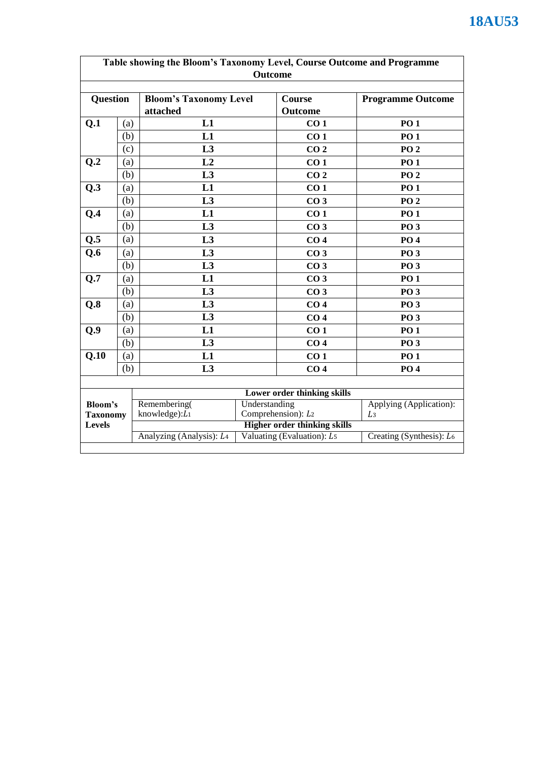| Table showing the Bloom's Taxonomy Level, Course Outcome and Programme<br><b>Outcome</b> |     |                                                                                |  |                             |                                           |  |
|------------------------------------------------------------------------------------------|-----|--------------------------------------------------------------------------------|--|-----------------------------|-------------------------------------------|--|
| <b>Question</b>                                                                          |     | <b>Bloom's Taxonomy Level</b><br>attached                                      |  | Course<br><b>Outcome</b>    | <b>Programme Outcome</b>                  |  |
| Q.1                                                                                      | (a) | L1                                                                             |  | CO <sub>1</sub>             | <b>PO1</b>                                |  |
|                                                                                          | (b) | L1                                                                             |  | CO <sub>1</sub>             | <b>PO1</b>                                |  |
|                                                                                          | (c) | L3                                                                             |  | CO <sub>2</sub>             | PO <sub>2</sub>                           |  |
| Q.2                                                                                      | (a) | L2                                                                             |  | CO <sub>1</sub>             | <b>PO1</b>                                |  |
|                                                                                          | (b) | L3                                                                             |  | CO <sub>2</sub>             | <b>PO 2</b>                               |  |
| Q.3                                                                                      | (a) | L1                                                                             |  | CO <sub>1</sub>             | <b>PO1</b>                                |  |
|                                                                                          | (b) | L <sub>3</sub>                                                                 |  | CO <sub>3</sub>             | PO <sub>2</sub>                           |  |
| Q.4                                                                                      | (a) | L1                                                                             |  | CO <sub>1</sub>             | <b>PO1</b>                                |  |
|                                                                                          | (b) | L3                                                                             |  | CO <sub>3</sub>             | <b>PO 3</b>                               |  |
| $Q.\overline{5}$                                                                         | (a) | L3                                                                             |  | CO <sub>4</sub>             | <b>PO4</b>                                |  |
| Q.6                                                                                      | (a) | L <sub>3</sub>                                                                 |  | CO <sub>3</sub>             | <b>PO 3</b>                               |  |
|                                                                                          | (b) | L3                                                                             |  | CO <sub>3</sub>             | <b>PO 3</b>                               |  |
| Q.7                                                                                      | (a) | L1                                                                             |  | CO <sub>3</sub>             | <b>PO1</b>                                |  |
|                                                                                          | (b) | L <sub>3</sub>                                                                 |  | CO <sub>3</sub>             | <b>PO 3</b>                               |  |
| Q.8                                                                                      | (a) | L <sub>3</sub>                                                                 |  | CO <sub>4</sub>             | <b>PO 3</b>                               |  |
|                                                                                          | (b) | L3                                                                             |  | CO <sub>4</sub>             | <b>PO 3</b>                               |  |
| Q.9                                                                                      | (a) | L1                                                                             |  | CO <sub>1</sub>             | <b>PO1</b>                                |  |
|                                                                                          | (b) | L3                                                                             |  | CO <sub>4</sub>             | <b>PO 3</b>                               |  |
| Q.10                                                                                     | (a) | L1                                                                             |  | CO <sub>1</sub>             | <b>PO1</b>                                |  |
|                                                                                          | (b) | L3                                                                             |  | CO <sub>4</sub>             | <b>PO4</b>                                |  |
|                                                                                          |     |                                                                                |  |                             |                                           |  |
|                                                                                          |     |                                                                                |  | Lower order thinking skills |                                           |  |
| <b>Bloom's</b>                                                                           |     | Remembering(<br>Understanding                                                  |  |                             | Applying (Application):<br>L <sub>3</sub> |  |
| <b>Taxonomy</b><br><b>Levels</b>                                                         |     | Comprehension): L2<br>knowledge): $L_1$<br><b>Higher order thinking skills</b> |  |                             |                                           |  |
|                                                                                          |     | Analyzing (Analysis): L <sub>4</sub>                                           |  | Valuating (Evaluation): L5  | Creating (Synthesis): L6                  |  |
|                                                                                          |     |                                                                                |  |                             |                                           |  |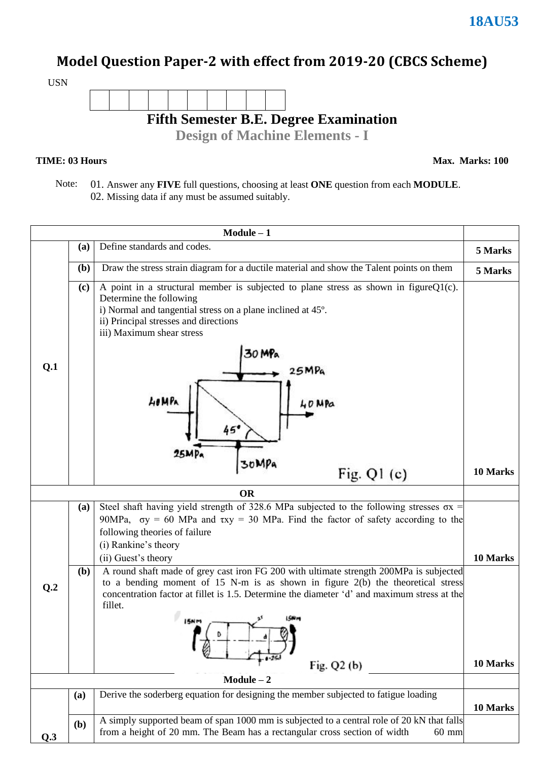## **Model Question Paper-2 with effect from 2019-20 (CBCS Scheme)**



#### **TIME: 03 Hours**

**Max. Marks: 100**

 Note: 01. Answer any **FIVE** full questions, choosing at least **ONE** question from each **MODULE**. 02. Missing data if any must be assumed suitably.

|              |              | $Module - 1$                                                                                                                                                                                                                                                                                                                        |          |  |
|--------------|--------------|-------------------------------------------------------------------------------------------------------------------------------------------------------------------------------------------------------------------------------------------------------------------------------------------------------------------------------------|----------|--|
|              | (a)          | Define standards and codes.                                                                                                                                                                                                                                                                                                         | 5 Marks  |  |
|              | (b)          | Draw the stress strain diagram for a ductile material and show the Talent points on them                                                                                                                                                                                                                                            | 5 Marks  |  |
| Q.1          | (c)          | A point in a structural member is subjected to plane stress as shown in figure $Q1(c)$ .<br>Determine the following<br>i) Normal and tangential stress on a plane inclined at 45°.<br>ii) Principal stresses and directions<br>iii) Maximum shear stress<br>30 MPa<br>25MPa<br>LOMPA<br>40 MPa<br>45'<br>25MP <sub>a</sub><br>30MPa |          |  |
|              |              | Fig. $Q1(c)$                                                                                                                                                                                                                                                                                                                        | 10 Marks |  |
|              |              | <b>OR</b>                                                                                                                                                                                                                                                                                                                           |          |  |
|              | (a)          | Steel shaft having yield strength of 328.6 MPa subjected to the following stresses $\sigma x$ =<br>90MPa, $\sigma y = 60$ MPa and $\tau xy = 30$ MPa. Find the factor of safety according to the<br>following theories of failure<br>(i) Rankine's theory<br>(ii) Guest's theory                                                    | 10 Marks |  |
| Q.2          | ( <b>b</b> ) | A round shaft made of grey cast iron FG 200 with ultimate strength 200MPa is subjected<br>to a bending moment of 15 N-m is as shown in figure $2(b)$ the theoretical stress<br>concentration factor at fillet is 1.5. Determine the diameter 'd' and maximum stress at the<br>fillet.<br>ISN M<br>Fig. $Q2(b)$                      |          |  |
| $Module - 2$ |              |                                                                                                                                                                                                                                                                                                                                     |          |  |
|              | (a)          | Derive the soderberg equation for designing the member subjected to fatigue loading                                                                                                                                                                                                                                                 | 10 Marks |  |
| Q.3          | (b)          | A simply supported beam of span 1000 mm is subjected to a central role of 20 kN that falls<br>from a height of 20 mm. The Beam has a rectangular cross section of width<br>$60$ mm                                                                                                                                                  |          |  |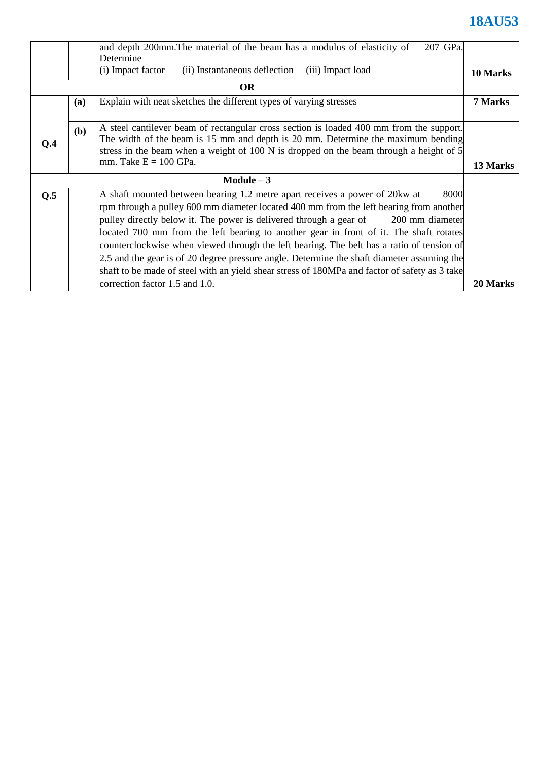|             |            | 207 GPa.<br>and depth 200mm. The material of the beam has a modulus of elasticity of          |          |  |  |  |
|-------------|------------|-----------------------------------------------------------------------------------------------|----------|--|--|--|
|             |            | Determine                                                                                     |          |  |  |  |
|             |            | (i) Impact factor<br>(ii) Instantaneous deflection<br>(iii) Impact load                       | 10 Marks |  |  |  |
|             |            | <b>OR</b>                                                                                     |          |  |  |  |
|             | <b>(a)</b> | Explain with neat sketches the different types of varying stresses                            | 7 Marks  |  |  |  |
|             |            |                                                                                               |          |  |  |  |
|             | (b)        | A steel cantilever beam of rectangular cross section is loaded 400 mm from the support.       |          |  |  |  |
| O.4         |            | The width of the beam is 15 mm and depth is 20 mm. Determine the maximum bending              |          |  |  |  |
|             |            | stress in the beam when a weight of 100 N is dropped on the beam through a height of 5        |          |  |  |  |
|             |            | mm. Take $E = 100$ GPa.                                                                       | 13 Marks |  |  |  |
| Module $-3$ |            |                                                                                               |          |  |  |  |
| Q.5         |            | 8000<br>A shaft mounted between bearing 1.2 metre apart receives a power of 20 kw at          |          |  |  |  |
|             |            | rpm through a pulley 600 mm diameter located 400 mm from the left bearing from another        |          |  |  |  |
|             |            | pulley directly below it. The power is delivered through a gear of 200 mm diameter            |          |  |  |  |
|             |            | located 700 mm from the left bearing to another gear in front of it. The shaft rotates        |          |  |  |  |
|             |            | counterclockwise when viewed through the left bearing. The belt has a ratio of tension of     |          |  |  |  |
|             |            | 2.5 and the gear is of 20 degree pressure angle. Determine the shaft diameter assuming the    |          |  |  |  |
|             |            | shaft to be made of steel with an yield shear stress of 180MPa and factor of safety as 3 take |          |  |  |  |
|             |            | correction factor 1.5 and 1.0.                                                                | 20 Marks |  |  |  |
|             |            |                                                                                               |          |  |  |  |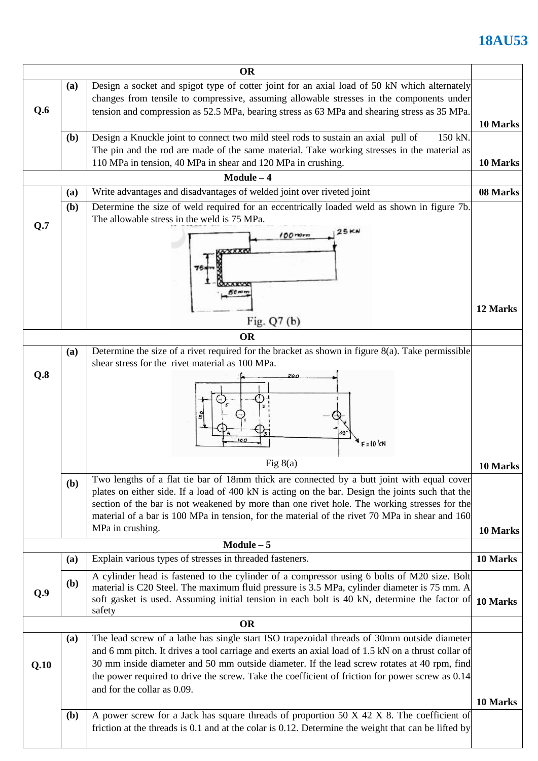|           |              | <b>OR</b>                                                                                                                                                                                                                                                                                                                                                                                                                          |                      |  |  |
|-----------|--------------|------------------------------------------------------------------------------------------------------------------------------------------------------------------------------------------------------------------------------------------------------------------------------------------------------------------------------------------------------------------------------------------------------------------------------------|----------------------|--|--|
| Q.6       | (a)          | Design a socket and spigot type of cotter joint for an axial load of 50 kN which alternately<br>changes from tensile to compressive, assuming allowable stresses in the components under<br>tension and compression as 52.5 MPa, bearing stress as 63 MPa and shearing stress as 35 MPa.                                                                                                                                           |                      |  |  |
|           | ( <b>b</b> ) | Design a Knuckle joint to connect two mild steel rods to sustain an axial pull of<br>150 kN.<br>The pin and the rod are made of the same material. Take working stresses in the material as<br>110 MPa in tension, 40 MPa in shear and 120 MPa in crushing.                                                                                                                                                                        | 10 Marks<br>10 Marks |  |  |
|           |              | $Module - 4$                                                                                                                                                                                                                                                                                                                                                                                                                       |                      |  |  |
|           | (a)          | Write advantages and disadvantages of welded joint over riveted joint                                                                                                                                                                                                                                                                                                                                                              | 08 Marks             |  |  |
| Q.7       | (b)          | Determine the size of weld required for an eccentrically loaded weld as shown in figure 7b.<br>The allowable stress in the weld is 75 MPa.<br><b>25KN</b>                                                                                                                                                                                                                                                                          |                      |  |  |
|           |              | $100$ mm<br><b>VXXXX</b><br>50 min                                                                                                                                                                                                                                                                                                                                                                                                 |                      |  |  |
|           |              |                                                                                                                                                                                                                                                                                                                                                                                                                                    | 12 Marks             |  |  |
|           |              | Fig. Q7 (b)                                                                                                                                                                                                                                                                                                                                                                                                                        |                      |  |  |
|           |              | <b>OR</b>                                                                                                                                                                                                                                                                                                                                                                                                                          |                      |  |  |
| Q.8       | (a)          | Determine the size of a rivet required for the bracket as shown in figure $8(a)$ . Take permissible<br>shear stress for the rivet material as 100 MPa.<br>200                                                                                                                                                                                                                                                                      |                      |  |  |
|           |              | $E = 10$ kN<br>Fig $8(a)$                                                                                                                                                                                                                                                                                                                                                                                                          | 10 Marks             |  |  |
|           | ( <b>b</b> ) | Two lengths of a flat tie bar of 18mm thick are connected by a butt joint with equal cover                                                                                                                                                                                                                                                                                                                                         |                      |  |  |
|           |              | plates on either side. If a load of 400 kN is acting on the bar. Design the joints such that the                                                                                                                                                                                                                                                                                                                                   |                      |  |  |
|           |              | section of the bar is not weakened by more than one rivet hole. The working stresses for the<br>material of a bar is 100 MPa in tension, for the material of the rivet 70 MPa in shear and 160                                                                                                                                                                                                                                     |                      |  |  |
|           |              | MPa in crushing.                                                                                                                                                                                                                                                                                                                                                                                                                   | 10 Marks             |  |  |
|           |              | $Module - 5$                                                                                                                                                                                                                                                                                                                                                                                                                       |                      |  |  |
|           | (a)          | Explain various types of stresses in threaded fasteners.                                                                                                                                                                                                                                                                                                                                                                           | 10 Marks             |  |  |
| Q.9       | ( <b>b</b> ) | A cylinder head is fastened to the cylinder of a compressor using 6 bolts of M20 size. Bolt<br>material is C20 Steel. The maximum fluid pressure is 3.5 MPa, cylinder diameter is 75 mm. A<br>soft gasket is used. Assuming initial tension in each bolt is 40 kN, determine the factor of<br>safety                                                                                                                               | 10 Marks             |  |  |
| <b>OR</b> |              |                                                                                                                                                                                                                                                                                                                                                                                                                                    |                      |  |  |
| Q.10      | (a)          | The lead screw of a lathe has single start ISO trapezoidal threads of 30mm outside diameter<br>and 6 mm pitch. It drives a tool carriage and exerts an axial load of 1.5 kN on a thrust collar of<br>30 mm inside diameter and 50 mm outside diameter. If the lead screw rotates at 40 rpm, find<br>the power required to drive the screw. Take the coefficient of friction for power screw as 0.14<br>and for the collar as 0.09. | 10 Marks             |  |  |
|           |              |                                                                                                                                                                                                                                                                                                                                                                                                                                    |                      |  |  |
|           | <b>(b)</b>   | A power screw for a Jack has square threads of proportion 50 X 42 X 8. The coefficient of<br>friction at the threads is 0.1 and at the colar is 0.12. Determine the weight that can be lifted by                                                                                                                                                                                                                                   |                      |  |  |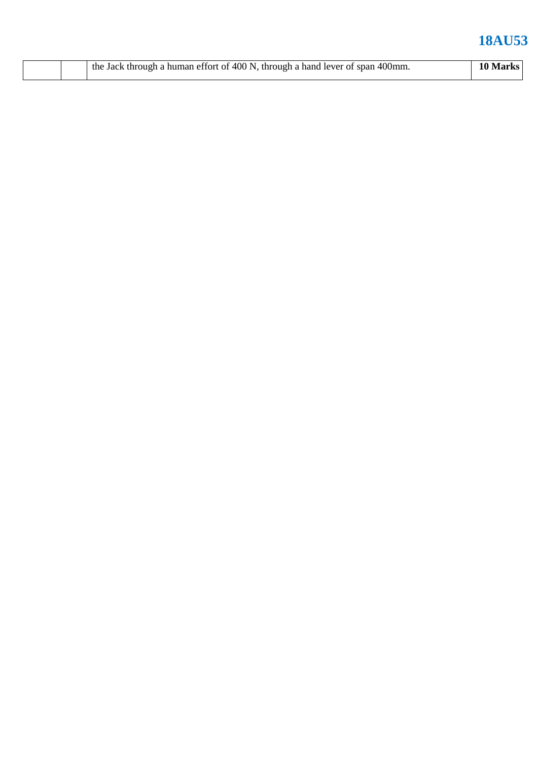|  |  | the Jack through a human effort of 400 N, through a hand lever of span 400mm. | 10 Marks |
|--|--|-------------------------------------------------------------------------------|----------|
|--|--|-------------------------------------------------------------------------------|----------|